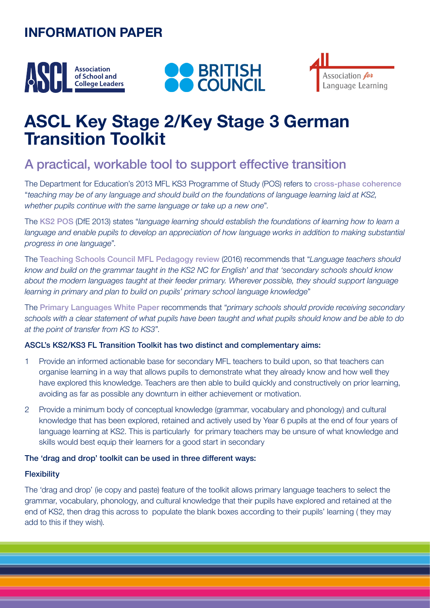# **INFORMATION PAPER**







# **ASCL Key Stage 2/Key Stage 3 German Transition Toolkit**

## A practical, workable tool to support effective transition

The Department for Education's 2013 MFL KS3 Programme of Study (POS) refers to [cross-phase coherence](https://assets.publishing.service.gov.uk/government/uploads/system/uploads/attachment_data/file/239083/SECONDARY_national_curriculum_-_Languages.pdf) "*teaching may be of any language and should build on the foundations of language learning laid at KS2, whether pupils continue with the same language or take up a new one*".

The [KS2 POS](https://www.gov.uk/government/publications/national-curriculum-in-england-languages-progammes-of-study) (DfE 2013) states "*language learning should establish the foundations of learning how to learn a*  language and enable pupils to develop an appreciation of how language works in addition to making substantial *progress in one language*".

The [Teaching Schools Council MFL Pedagogy review](https://tscouncil.org.uk/wp-content/uploads/2016/12/MFL-Pedagogy-Review-Report-2.pdf) (2016) recommends that "*Language teachers should know and build on the grammar taught in the KS2 NC for English' and that 'secondary schools should know about the modern languages taught at their feeder primary. Wherever possible, they should support language learning in primary and plan to build on pupils' primary school language knowledge*"

The [Primary Languages White Paper](https://www.ripl.uk/wp-content/uploads/2019/02/RIPL-White-Paper-Primary-Languages-Policy-in-England.pdf) recommends that "*primary schools should provide receiving secondary schools with a clear statement of what pupils have been taught and what pupils should know and be able to do at the point of transfer from KS to KS3*".

### ASCL's KS2/KS3 FL Transition Toolkit has two distinct and complementary aims:

- 1 Provide an informed actionable base for secondary MFL teachers to build upon, so that teachers can organise learning in a way that allows pupils to demonstrate what they already know and how well they have explored this knowledge. Teachers are then able to build quickly and constructively on prior learning, avoiding as far as possible any downturn in either achievement or motivation.
- 2 Provide a minimum body of conceptual knowledge (grammar, vocabulary and phonology) and cultural knowledge that has been explored, retained and actively used by Year 6 pupils at the end of four years of language learning at KS2. This is particularly for primary teachers may be unsure of what knowledge and skills would best equip their learners for a good start in secondary

### The 'drag and drop' toolkit can be used in three different ways:

### **Flexibility**

The 'drag and drop' (ie copy and paste) feature of the toolkit allows primary language teachers to select the grammar, vocabulary, phonology, and cultural knowledge that their pupils have explored and retained at the end of KS2, then drag this across to populate the blank boxes according to their pupils' learning ( they may add to this if they wish).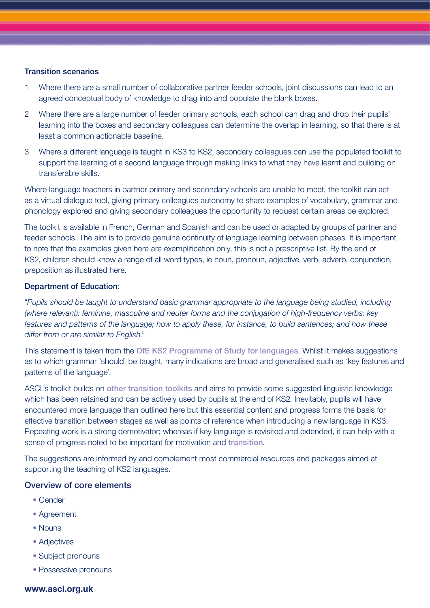### Transition scenarios

- 1 Where there are a small number of collaborative partner feeder schools, joint discussions can lead to an agreed conceptual body of knowledge to drag into and populate the blank boxes.
- 2 Where there are a large number of feeder primary schools, each school can drag and drop their pupils' learning into the boxes and secondary colleagues can determine the overlap in learning, so that there is at least a common actionable baseline.
- 3 Where a different language is taught in KS3 to KS2, secondary colleagues can use the populated toolkit to support the learning of a second language through making links to what they have learnt and building on transferable skills.

Where language teachers in partner primary and secondary schools are unable to meet, the toolkit can act as a virtual dialogue tool, giving primary colleagues autonomy to share examples of vocabulary, grammar and phonology explored and giving secondary colleagues the opportunity to request certain areas be explored.

The toolkit is available in French, German and Spanish and can be used or adapted by groups of partner and feeder schools. The aim is to provide genuine continuity of language learning between phases. It is important to note that the examples given here are exemplification only, this is not a prescriptive list. By the end of KS2, children should know a range of all word types, ie noun, pronoun, adjective, verb, adverb, conjunction, preposition as illustrated here.

### Department of Education:

"*Pupils should be taught to understand basic grammar appropriate to the language being studied, including (where relevant): feminine, masculine and neuter forms and the conjugation of high-frequency verbs; key features and patterns of the language; how to apply these, for instance, to build sentences; and how these differ from or are similar to English*."

This statement is taken from the [DfE KS2 Programme of Study for languages](https://www.gov.uk/government/publications/national-curriculum-in-england-languages-progammes-of-study). Whilst it makes suggestions as to which grammar 'should' be taught, many indications are broad and generalised such as 'key features and patterns of the language'.

ASCL's toolkit builds on [other transition toolkits](https://www.all-languages.org.uk/wp-content/uploads/2016/04/Transition-Toolkit.pdf) and aims to provide some suggested linguistic knowledge which has been retained and can be actively used by pupils at the end of KS2. Inevitably, pupils will have encountered more language than outlined here but this essential content and progress forms the basis for effective transition between stages as well as points of reference when introducing a new language in KS3. Repeating work is a strong demotivator; whereas if key language is revisited and extended, it can help with a sense of progress noted to be important for motivation and [transition](https://www.ripl.uk/wp-content/uploads/2020/04/OASIS_Summary_Graham_et_al._2016-5.pdf).

The suggestions are informed by and complement most commercial resources and packages aimed at supporting the teaching of KS2 languages.

### Overview of core elements

- Gender
- Agreement
- Nouns
- Adjectives
- Subject pronouns
- Possessive pronouns

### **www.ascl.org.uk**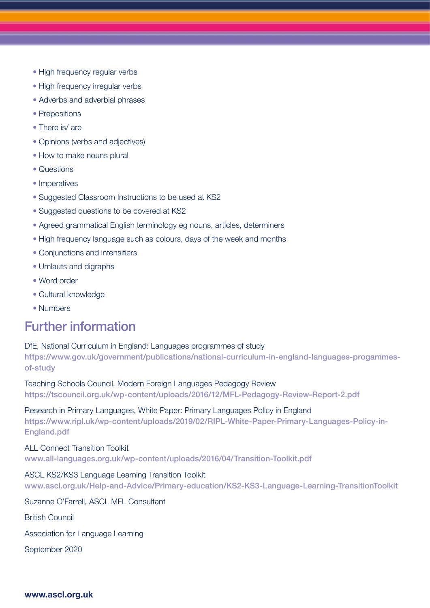- High frequency regular verbs
- High frequency irregular verbs
- Adverbs and adverbial phrases
- Prepositions
- There is/are
- Opinions (verbs and adjectives)
- How to make nouns plural
- Questions
- Imperatives
- Suggested Classroom Instructions to be used at KS2
- Suggested questions to be covered at KS2
- Agreed grammatical English terminology eg nouns, articles, determiners
- High frequency language such as colours, days of the week and months
- Conjunctions and intensifiers
- Umlauts and digraphs
- Word order
- Cultural knowledge
- Numbers

### Further information

DfE, National Curriculum in England: Languages programmes of study https://www.gov.uk/government/publications/national-curriculum-in-england-languages-progammesof-study

Teaching Schools Council, Modern Foreign Languages Pedagogy Review https://tscouncil.org.uk/wp-content/uploads/2016/12/MFL-Pedagogy-Review-Report-2.pdf

Research in Primary Languages, White Paper: Primary Languages Policy in England https://www.ripl.uk/wp-content/uploads/2019/02/RIPL-White-Paper-Primary-Languages-Policy-in-England.pdf

### ALL Connect Transition Toolkit

www.all-languages.org.uk/wp-content/uploads/2016/04/Transition-Toolkit.pdf

### ASCL KS2/KS3 Language Learning Transition Toolkit

www.ascl.org.uk/Help-and-Advice/Primary-education/KS2-KS3-Language-Learning-TransitionToolkit

Suzanne O'Farrell, ASCL MFL Consultant

British Council

Association for Language Learning

September 2020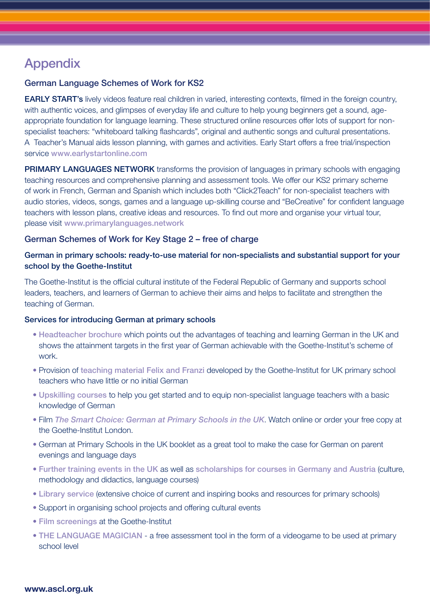# Appendix

### German Language Schemes of Work for KS2

**EARLY START's** lively videos feature real children in varied, interesting contexts, filmed in the foreign country, with authentic voices, and glimpses of everyday life and culture to help young beginners get a sound, ageappropriate foundation for language learning. These structured online resources offer lots of support for nonspecialist teachers: "whiteboard talking flashcards", original and authentic songs and cultural presentations. A Teacher's Manual aids lesson planning, with games and activities. Early Start offers a free trial/inspection service www.earlystartonline.com

PRIMARY LANGUAGES NETWORK transforms the provision of languages in primary schools with engaging teaching resources and comprehensive planning and assessment tools. We offer our KS2 primary scheme of work in French, German and Spanish which includes both "Click2Teach" for non-specialist teachers with audio stories, videos, songs, games and a language up-skilling course and "BeCreative" for confident language teachers with lesson plans, creative ideas and resources. To find out more and organise your virtual tour, please visit www.primarylanguages.network

### German Schemes of Work for Key Stage 2 – free of charge

### German in primary schools: ready-to-use material for non-specialists and substantial support for your school by the Goethe-Institut

The Goethe-Institut is the official cultural institute of the Federal Republic of Germany and supports school leaders, teachers, and learners of German to achieve their aims and helps to facilitate and strengthen the teaching of German.

### Services for introducing German at primary schools

- [Headteacher brochure](https://www.goethe.de/resources/files/pdf72/Goetha_Institut_Headteacher_Broch_ONLINE_01-161.pdf) which points out the advantages of teaching and learning German in the UK and shows the attainment targets in the first year of German achievable with the Goethe-Institut's scheme of work.
- Provision of [teaching material Felix and Franzi](https://www.goethe.de/ins/gb/en/spr/unt/kum/dfk/dff.html) developed by the Goethe-Institut for UK primary school teachers who have little or no initial German
- [Upskilling courses](https://www.goethe.de/ins/gb/en/spr/unt/kum/dfk/dwb.html) to help you get started and to equip non-specialist language teachers with a basic knowledge of German
- Film *[The Smart Choice: German at Primary Schools in the UK](https://www.youtube.com/watch?time_continue=2&v=QjBDAy4Nik0)*. Watch online or order your free copy at the Goethe-Institut London.
- German at Primary Schools in the UK booklet as a great tool to make the case for German on parent evenings and language days
- [Further training events in the UK](https://www.goethe.de/ins/gb/en/spr/unt/for/gia.html) as well as [scholarships for courses in Germany and Austria](https://www.goethe.de/ins/gb/en/spr/unt/for/deu.html) (culture, methodology and didactics, language courses)
- [Library service](https://www.goethe.de/ins/gb/en/sta/lon/bib.html) (extensive choice of current and inspiring books and resources for primary schools)
- Support in organising school projects and offering cultural events
- [Film screenings](https://www.goethe.de/ins/gb/en/spr/unt/ver/ffs.html) at the Goethe-Institut
- [THE LANGUAGE MAGICIAN](https://www.thelanguagemagician.net) a free assessment tool in the form of a videogame to be used at primary school level